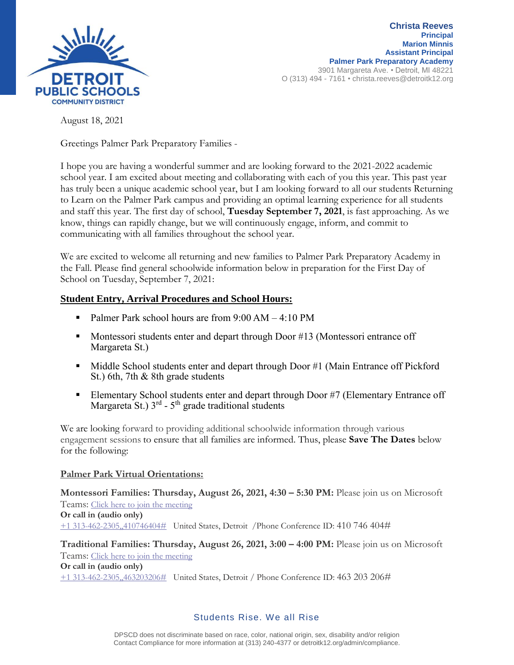

August 18, 2021

Greetings Palmer Park Preparatory Families -

I hope you are having a wonderful summer and are looking forward to the 2021-2022 academic school year. I am excited about meeting and collaborating with each of you this year. This past year has truly been a unique academic school year, but I am looking forward to all our students Returning to Learn on the Palmer Park campus and providing an optimal learning experience for all students and staff this year. The first day of school, **Tuesday September 7, 2021**, is fast approaching. As we know, things can rapidly change, but we will continuously engage, inform, and commit to communicating with all families throughout the school year.

We are excited to welcome all returning and new families to Palmer Park Preparatory Academy in the Fall. Please find general schoolwide information below in preparation for the First Day of School on Tuesday, September 7, 2021:

#### **Student Entry, Arrival Procedures and School Hours:**

- Palmer Park school hours are from 9:00 AM 4:10 PM
- Montessori students enter and depart through Door #13 (Montessori entrance off Margareta St.)
- Middle School students enter and depart through Door #1 (Main Entrance off Pickford St.) 6th, 7th & 8th grade students
- Elementary School students enter and depart through Door #7 (Elementary Entrance off Margareta St.)  $3^{rd}$  -  $5^{th}$  grade traditional students

We are looking forward to providing additional schoolwide information through various engagement sessions to ensure that all families are informed. Thus, please **Save The Dates** below for the following:

#### **Palmer Park Virtual Orientations:**

**Montessori Families: Thursday, August 26, 2021, 4:30 – 5:30 PM:** Please join us on Microsoft Teams: Click here to join the [meeting](https://teams.microsoft.com/l/meetup-join/19%3ameeting_YTkwNmIwNTEtM2U1Yy00MzcyLTlhN2EtNDM2YTU2ZTY4Zjlh%40thread.v2/0?context=%7b%22Tid%22%3a%222ea2d0dc-889d-42bc-9b4c-30271f82e335%22%2c%22Oid%22%3a%228b24993e-30dd-4176-aaaf-4e707f5eccc2%22%7d) **Or call in (audio only)** +1 [313-462-2305,,410746404#](tel:+13134622305,,410746404) United States, Detroit /Phone Conference ID: 410 746 404#

**Traditional Families: Thursday, August 26, 2021, 3:00 – 4:00 PM:** Please join us on Microsoft Teams: Click here to join the [meeting](https://teams.microsoft.com/l/meetup-join/19%3ameeting_MGRjMThkM2ItZDcxOS00Mjg5LThhZTMtOTY2N2Q2MjQzM2I3%40thread.v2/0?context=%7b%22Tid%22%3a%222ea2d0dc-889d-42bc-9b4c-30271f82e335%22%2c%22Oid%22%3a%228b24993e-30dd-4176-aaaf-4e707f5eccc2%22%7d)

#### **Or call in (audio only)**

+1 [313-462-2305,,463203206#](tel:+13134622305,,463203206) United States, Detroit / Phone Conference ID: 463 203 206#

#### Students Rise. We all Rise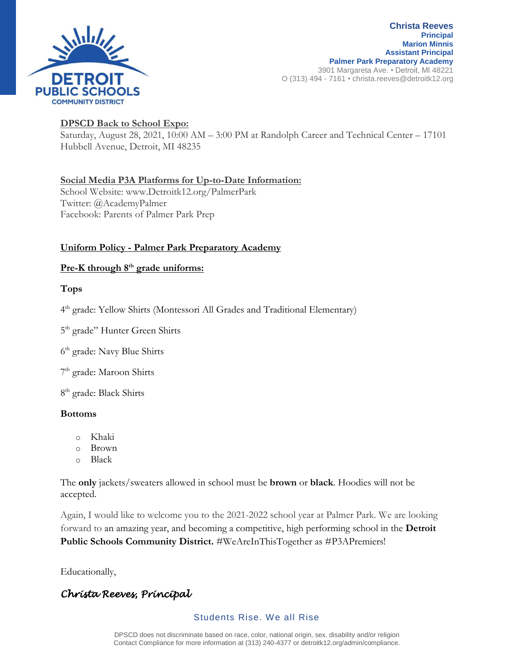

#### **DPSCD Back to School Expo:**

Saturday, August 28, 2021, 10:00 AM – 3:00 PM at Randolph Career and Technical Center – 17101 Hubbell Avenue, Detroit, MI 48235

## **Social Media P3A Platforms for Up-to-Date Information:**

School Website: www.Detroitk12.org/PalmerPark Twitter: @AcademyPalmer Facebook: Parents of Palmer Park Prep

## **Uniform Policy - Palmer Park Preparatory Academy**

#### **Pre-K through 8th grade uniforms:**

## **Tops**

4 th grade: Yellow Shirts (Montessori All Grades and Traditional Elementary)

5<sup>th</sup> grade" Hunter Green Shirts

6 th grade: Navy Blue Shirts

7<sup>th</sup> grade: Maroon Shirts

8 th grade: Black Shirts

#### **Bottoms**

- o Khaki
- o Brown
- o Black

The **only** jackets/sweaters allowed in school must be **brown** or **black**. Hoodies will not be accepted.

Again, I would like to welcome you to the 2021-2022 school year at Palmer Park. We are looking forward to an amazing year, and becoming a competitive, high performing school in the **Detroit**  Public Schools Community District. #WeAreInThisTogether as #P3APremiers!

Educationally,

# *Christa Reeves, Principal*

#### Students Rise. We all Rise